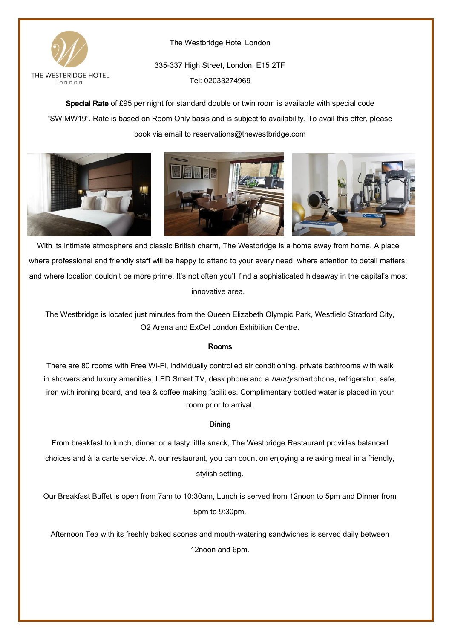

The Westbridge Hotel London

335-337 High Street, London, E15 2TF Tel: 02033274969

Special Rate of £95 per night for standard double or twin room is available with special code "SWIMW19". Rate is based on Room Only basis and is subject to availability. To avail this offer, please book via email to reservations@thewestbridge.com



With its intimate atmosphere and classic British charm, The Westbridge is a home away from home. A place where professional and friendly staff will be happy to attend to your every need; where attention to detail matters; and where location couldn't be more prime. It's not often you'll find a sophisticated hideaway in the capital's most innovative area.

The Westbridge is located just minutes from the Queen Elizabeth Olympic Park, Westfield Stratford City, O2 Arena and ExCel London Exhibition Centre.

# Rooms

There are 80 rooms with Free Wi-Fi, individually controlled air conditioning, private bathrooms with walk in showers and luxury amenities, LED Smart TV, desk phone and a *handy* smartphone, refrigerator, safe, iron with ironing board, and tea & coffee making facilities. Complimentary bottled water is placed in your room prior to arrival.

# Dining

From breakfast to lunch, dinner or a tasty little snack, The Westbridge Restaurant provides balanced choices and à la carte service. At our restaurant, you can count on enjoying a relaxing meal in a friendly, stylish setting.

Our Breakfast Buffet is open from 7am to 10:30am, Lunch is served from 12noon to 5pm and Dinner from 5pm to 9:30pm.

Afternoon Tea with its freshly baked scones and mouth-watering sandwiches is served daily between 12noon and 6pm.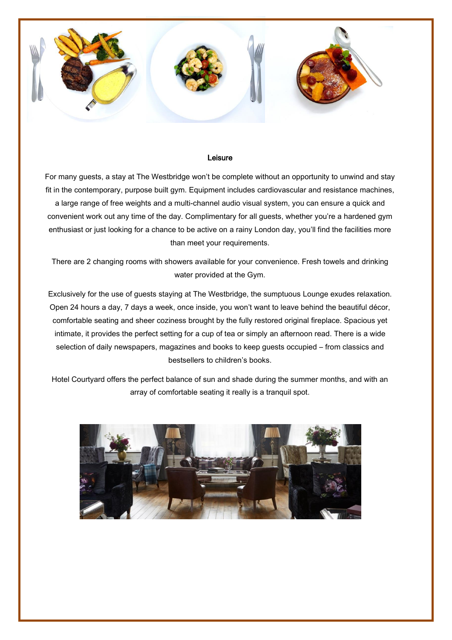

### Leisure

For many guests, a stay at The Westbridge won't be complete without an opportunity to unwind and stay fit in the contemporary, purpose built gym. Equipment includes cardiovascular and resistance machines, a large range of free weights and a multi-channel audio visual system, you can ensure a quick and convenient work out any time of the day. Complimentary for all guests, whether you're a hardened gym enthusiast or just looking for a chance to be active on a rainy London day, you'll find the facilities more than meet your requirements.

There are 2 changing rooms with showers available for your convenience. Fresh towels and drinking water provided at the Gym.

Exclusively for the use of guests staying at The Westbridge, the sumptuous Lounge exudes relaxation. Open 24 hours a day, 7 days a week, once inside, you won't want to leave behind the beautiful décor, comfortable seating and sheer coziness brought by the fully restored original fireplace. Spacious yet intimate, it provides the perfect setting for a cup of tea or simply an afternoon read. There is a wide selection of daily newspapers, magazines and books to keep guests occupied – from classics and bestsellers to children's books.

Hotel Courtyard offers the perfect balance of sun and shade during the summer months, and with an array of comfortable seating it really is a tranquil spot.